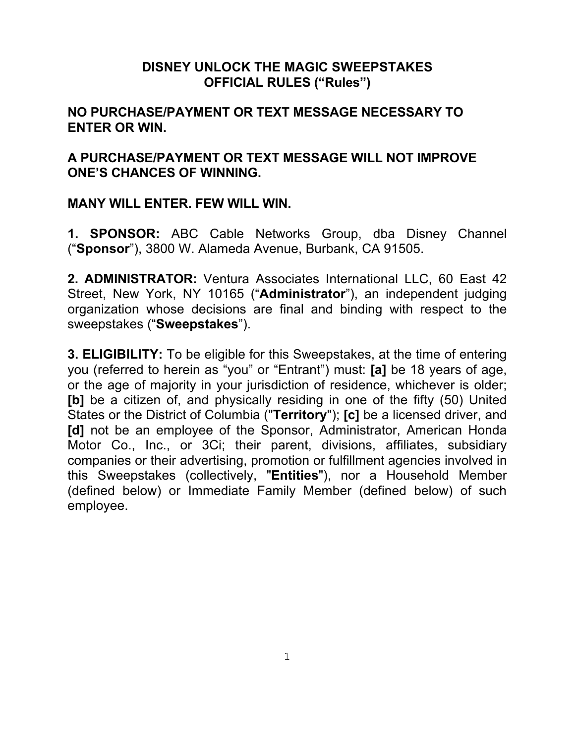## **DISNEY UNLOCK THE MAGIC SWEEPSTAKES OFFICIAL RULES ("Rules")**

## **NO PURCHASE/PAYMENT OR TEXT MESSAGE NECESSARY TO ENTER OR WIN.**

## **A PURCHASE/PAYMENT OR TEXT MESSAGE WILL NOT IMPROVE ONE'S CHANCES OF WINNING.**

## **MANY WILL ENTER. FEW WILL WIN.**

**1. SPONSOR:** ABC Cable Networks Group, dba Disney Channel ("**Sponsor**"), 3800 W. Alameda Avenue, Burbank, CA 91505.

**2. ADMINISTRATOR:** Ventura Associates International LLC, 60 East 42 Street, New York, NY 10165 ("**Administrator**"), an independent judging organization whose decisions are final and binding with respect to the sweepstakes ("**Sweepstakes**").

**3. ELIGIBILITY:** To be eligible for this Sweepstakes, at the time of entering you (referred to herein as "you" or "Entrant") must: **[a]** be 18 years of age, or the age of majority in your jurisdiction of residence, whichever is older; **[b]** be a citizen of, and physically residing in one of the fifty (50) United States or the District of Columbia ("**Territory**"); **[c]** be a licensed driver, and **[d]** not be an employee of the Sponsor, Administrator, American Honda Motor Co., Inc., or 3Ci; their parent, divisions, affiliates, subsidiary companies or their advertising, promotion or fulfillment agencies involved in this Sweepstakes (collectively, "**Entities**"), nor a Household Member (defined below) or Immediate Family Member (defined below) of such employee.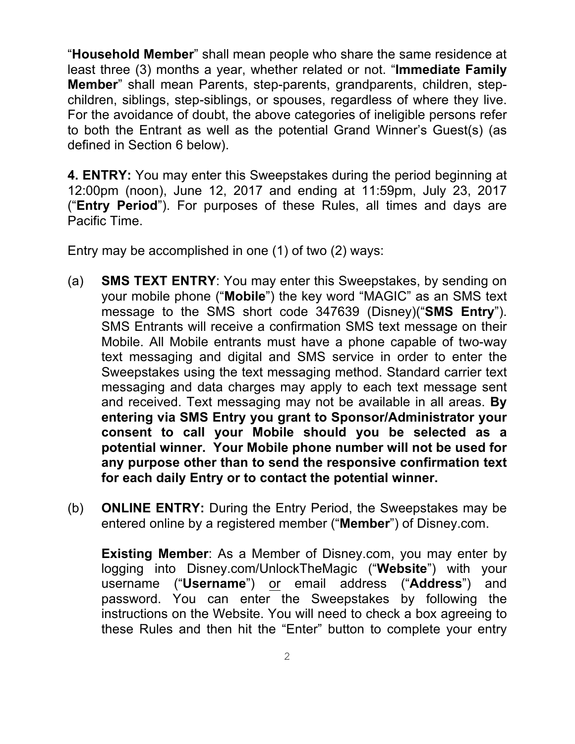"**Household Member**" shall mean people who share the same residence at least three (3) months a year, whether related or not. "**Immediate Family Member**" shall mean Parents, step-parents, grandparents, children, stepchildren, siblings, step-siblings, or spouses, regardless of where they live. For the avoidance of doubt, the above categories of ineligible persons refer to both the Entrant as well as the potential Grand Winner's Guest(s) (as defined in Section 6 below).

**4. ENTRY:** You may enter this Sweepstakes during the period beginning at 12:00pm (noon), June 12, 2017 and ending at 11:59pm, July 23, 2017 ("**Entry Period**"). For purposes of these Rules, all times and days are Pacific Time.

Entry may be accomplished in one (1) of two (2) ways:

- (a) **SMS TEXT ENTRY**: You may enter this Sweepstakes, by sending on your mobile phone ("**Mobile**") the key word "MAGIC" as an SMS text message to the SMS short code 347639 (Disney)("**SMS Entry**"). SMS Entrants will receive a confirmation SMS text message on their Mobile. All Mobile entrants must have a phone capable of two-way text messaging and digital and SMS service in order to enter the Sweepstakes using the text messaging method. Standard carrier text messaging and data charges may apply to each text message sent and received. Text messaging may not be available in all areas. **By entering via SMS Entry you grant to Sponsor/Administrator your consent to call your Mobile should you be selected as a potential winner. Your Mobile phone number will not be used for any purpose other than to send the responsive confirmation text for each daily Entry or to contact the potential winner.**
- (b) **ONLINE ENTRY:** During the Entry Period, the Sweepstakes may be entered online by a registered member ("**Member**") of Disney.com.

**Existing Member**: As a Member of Disney.com, you may enter by logging into Disney.com/UnlockTheMagic ("**Website**") with your username ("**Username**") or email address ("**Address**") and password. You can enter the Sweepstakes by following the instructions on the Website. You will need to check a box agreeing to these Rules and then hit the "Enter" button to complete your entry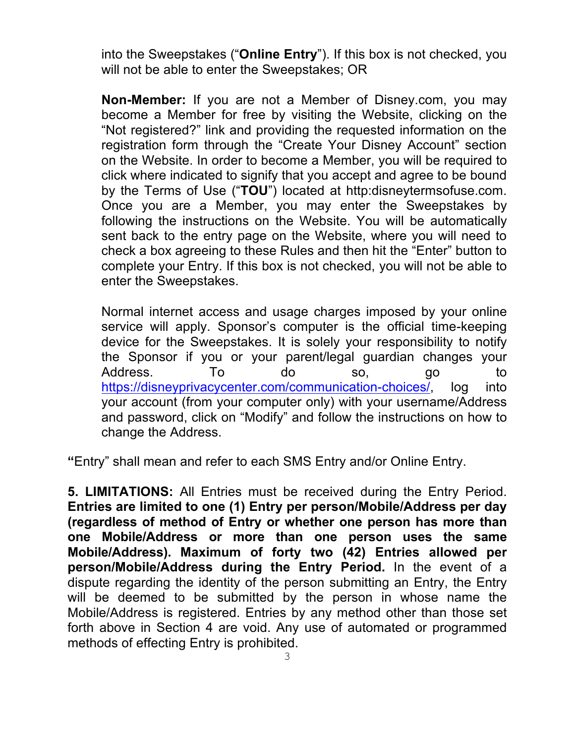into the Sweepstakes ("**Online Entry**"). If this box is not checked, you will not be able to enter the Sweepstakes; OR

**Non-Member:** If you are not a Member of Disney.com, you may become a Member for free by visiting the Website, clicking on the "Not registered?" link and providing the requested information on the registration form through the "Create Your Disney Account" section on the Website. In order to become a Member, you will be required to click where indicated to signify that you accept and agree to be bound by the Terms of Use ("**TOU**") located at http:disneytermsofuse.com. Once you are a Member, you may enter the Sweepstakes by following the instructions on the Website. You will be automatically sent back to the entry page on the Website, where you will need to check a box agreeing to these Rules and then hit the "Enter" button to complete your Entry. If this box is not checked, you will not be able to enter the Sweepstakes.

Normal internet access and usage charges imposed by your online service will apply. Sponsor's computer is the official time-keeping device for the Sweepstakes. It is solely your responsibility to notify the Sponsor if you or your parent/legal guardian changes your Address. To do so, go to https://disneyprivacycenter.com/communication-choices/ log into your account (from your computer only) with your username/Address and password, click on "Modify" and follow the instructions on how to change the Address.

**"**Entry" shall mean and refer to each SMS Entry and/or Online Entry.

**5. LIMITATIONS:** All Entries must be received during the Entry Period. **Entries are limited to one (1) Entry per person/Mobile/Address per day (regardless of method of Entry or whether one person has more than one Mobile/Address or more than one person uses the same Mobile/Address). Maximum of forty two (42) Entries allowed per person/Mobile/Address during the Entry Period.** In the event of a dispute regarding the identity of the person submitting an Entry, the Entry will be deemed to be submitted by the person in whose name the Mobile/Address is registered. Entries by any method other than those set forth above in Section 4 are void. Any use of automated or programmed methods of effecting Entry is prohibited.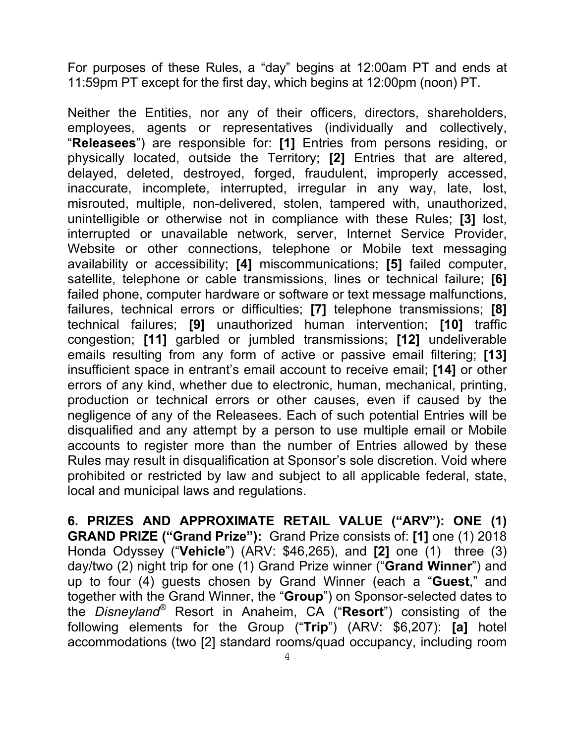For purposes of these Rules, a "day" begins at 12:00am PT and ends at 11:59pm PT except for the first day, which begins at 12:00pm (noon) PT.

Neither the Entities, nor any of their officers, directors, shareholders, employees, agents or representatives (individually and collectively, "**Releasees**") are responsible for: **[1]** Entries from persons residing, or physically located, outside the Territory; **[2]** Entries that are altered, delayed, deleted, destroyed, forged, fraudulent, improperly accessed, inaccurate, incomplete, interrupted, irregular in any way, late, lost, misrouted, multiple, non-delivered, stolen, tampered with, unauthorized, unintelligible or otherwise not in compliance with these Rules; **[3]** lost, interrupted or unavailable network, server, Internet Service Provider, Website or other connections, telephone or Mobile text messaging availability or accessibility; **[4]** miscommunications; **[5]** failed computer, satellite, telephone or cable transmissions, lines or technical failure; **[6]** failed phone, computer hardware or software or text message malfunctions, failures, technical errors or difficulties; **[7]** telephone transmissions; **[8]** technical failures; **[9]** unauthorized human intervention; **[10]** traffic congestion; **[11]** garbled or jumbled transmissions; **[12]** undeliverable emails resulting from any form of active or passive email filtering; **[13]** insufficient space in entrant's email account to receive email; **[14]** or other errors of any kind, whether due to electronic, human, mechanical, printing, production or technical errors or other causes, even if caused by the negligence of any of the Releasees. Each of such potential Entries will be disqualified and any attempt by a person to use multiple email or Mobile accounts to register more than the number of Entries allowed by these Rules may result in disqualification at Sponsor's sole discretion. Void where prohibited or restricted by law and subject to all applicable federal, state, local and municipal laws and regulations.

**6. PRIZES AND APPROXIMATE RETAIL VALUE ("ARV"): ONE (1) GRAND PRIZE ("Grand Prize"):** Grand Prize consists of: **[1]** one (1) 2018 Honda Odyssey ("**Vehicle**") (ARV: \$46,265), and **[2]** one (1) three (3) day/two (2) night trip for one (1) Grand Prize winner ("**Grand Winner**") and up to four (4) guests chosen by Grand Winner (each a "**Guest**," and together with the Grand Winner, the "**Group**") on Sponsor-selected dates to the *Disneyland®* Resort in Anaheim, CA ("**Resort**") consisting of the following elements for the Group ("**Trip**") (ARV: \$6,207): **[a]** hotel accommodations (two [2] standard rooms/quad occupancy, including room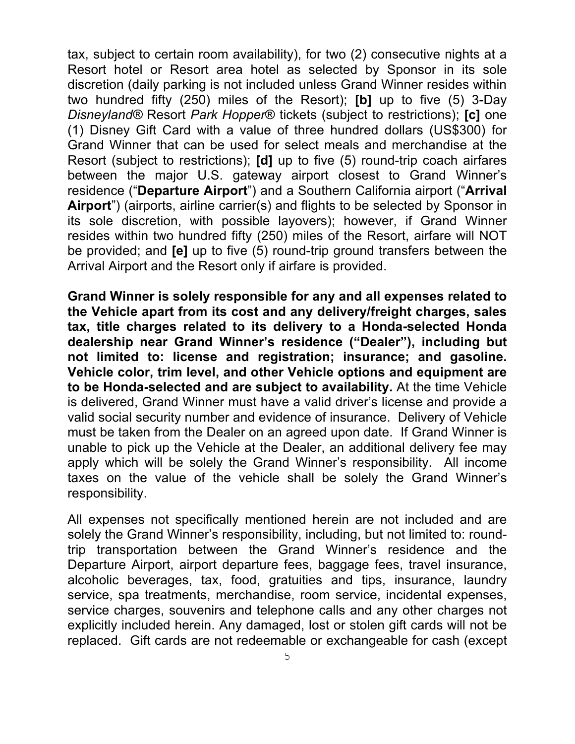tax, subject to certain room availability), for two (2) consecutive nights at a Resort hotel or Resort area hotel as selected by Sponsor in its sole discretion (daily parking is not included unless Grand Winner resides within two hundred fifty (250) miles of the Resort); **[b]** up to five (5) 3-Day *Disneyland®* Resort *Park Hopper*® tickets (subject to restrictions); **[c]** one (1) Disney Gift Card with a value of three hundred dollars (US\$300) for Grand Winner that can be used for select meals and merchandise at the Resort (subject to restrictions); **[d]** up to five (5) round-trip coach airfares between the major U.S. gateway airport closest to Grand Winner's residence ("**Departure Airport**") and a Southern California airport ("**Arrival Airport**") (airports, airline carrier(s) and flights to be selected by Sponsor in its sole discretion, with possible layovers); however, if Grand Winner resides within two hundred fifty (250) miles of the Resort, airfare will NOT be provided; and **[e]** up to five (5) round-trip ground transfers between the Arrival Airport and the Resort only if airfare is provided.

**Grand Winner is solely responsible for any and all expenses related to the Vehicle apart from its cost and any delivery/freight charges, sales tax, title charges related to its delivery to a Honda-selected Honda dealership near Grand Winner's residence ("Dealer"), including but not limited to: license and registration; insurance; and gasoline. Vehicle color, trim level, and other Vehicle options and equipment are to be Honda-selected and are subject to availability.** At the time Vehicle is delivered, Grand Winner must have a valid driver's license and provide a valid social security number and evidence of insurance. Delivery of Vehicle must be taken from the Dealer on an agreed upon date. If Grand Winner is unable to pick up the Vehicle at the Dealer, an additional delivery fee may apply which will be solely the Grand Winner's responsibility. All income taxes on the value of the vehicle shall be solely the Grand Winner's responsibility.

All expenses not specifically mentioned herein are not included and are solely the Grand Winner's responsibility, including, but not limited to: roundtrip transportation between the Grand Winner's residence and the Departure Airport, airport departure fees, baggage fees, travel insurance, alcoholic beverages, tax, food, gratuities and tips, insurance, laundry service, spa treatments, merchandise, room service, incidental expenses, service charges, souvenirs and telephone calls and any other charges not explicitly included herein. Any damaged, lost or stolen gift cards will not be replaced. Gift cards are not redeemable or exchangeable for cash (except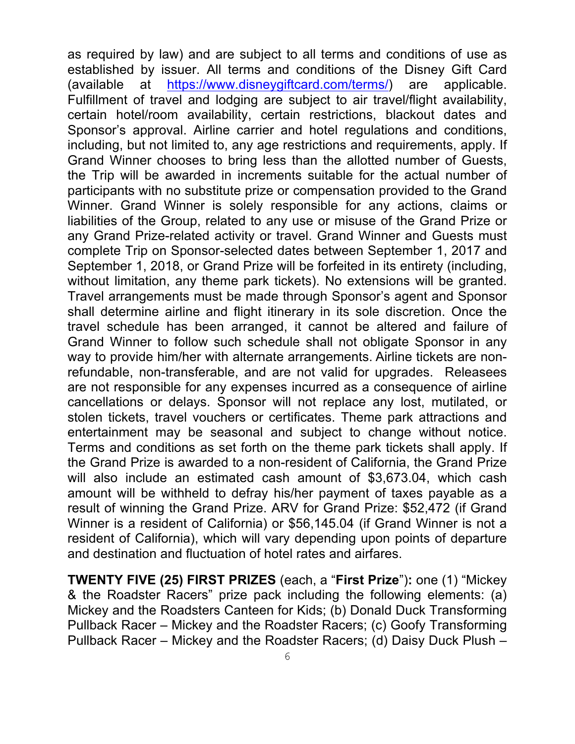as required by law) and are subject to all terms and conditions of use as established by issuer. All terms and conditions of the Disney Gift Card (available at https://www.disneygiftcard.com/terms/) are applicable. Fulfillment of travel and lodging are subject to air travel/flight availability, certain hotel/room availability, certain restrictions, blackout dates and Sponsor's approval. Airline carrier and hotel regulations and conditions, including, but not limited to, any age restrictions and requirements, apply. If Grand Winner chooses to bring less than the allotted number of Guests, the Trip will be awarded in increments suitable for the actual number of participants with no substitute prize or compensation provided to the Grand Winner. Grand Winner is solely responsible for any actions, claims or liabilities of the Group, related to any use or misuse of the Grand Prize or any Grand Prize-related activity or travel. Grand Winner and Guests must complete Trip on Sponsor-selected dates between September 1, 2017 and September 1, 2018, or Grand Prize will be forfeited in its entirety (including, without limitation, any theme park tickets). No extensions will be granted. Travel arrangements must be made through Sponsor's agent and Sponsor shall determine airline and flight itinerary in its sole discretion. Once the travel schedule has been arranged, it cannot be altered and failure of Grand Winner to follow such schedule shall not obligate Sponsor in any way to provide him/her with alternate arrangements. Airline tickets are nonrefundable, non-transferable, and are not valid for upgrades. Releasees are not responsible for any expenses incurred as a consequence of airline cancellations or delays. Sponsor will not replace any lost, mutilated, or stolen tickets, travel vouchers or certificates. Theme park attractions and entertainment may be seasonal and subject to change without notice. Terms and conditions as set forth on the theme park tickets shall apply. If the Grand Prize is awarded to a non-resident of California, the Grand Prize will also include an estimated cash amount of \$3,673.04, which cash amount will be withheld to defray his/her payment of taxes payable as a result of winning the Grand Prize. ARV for Grand Prize: \$52,472 (if Grand Winner is a resident of California) or \$56,145.04 (if Grand Winner is not a resident of California), which will vary depending upon points of departure and destination and fluctuation of hotel rates and airfares.

**TWENTY FIVE (25) FIRST PRIZES** (each, a "**First Prize**")**:** one (1) "Mickey & the Roadster Racers" prize pack including the following elements: (a) Mickey and the Roadsters Canteen for Kids; (b) Donald Duck Transforming Pullback Racer – Mickey and the Roadster Racers; (c) Goofy Transforming Pullback Racer – Mickey and the Roadster Racers; (d) Daisy Duck Plush –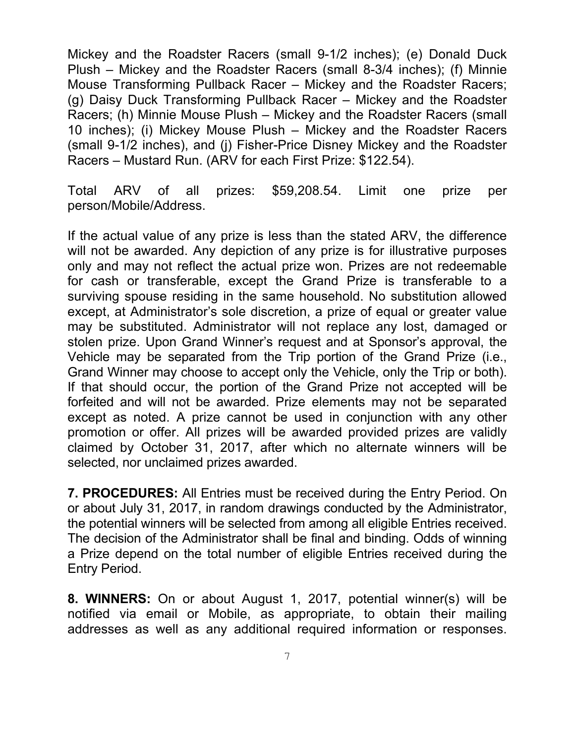Mickey and the Roadster Racers (small 9-1/2 inches); (e) Donald Duck Plush – Mickey and the Roadster Racers (small 8-3/4 inches); (f) Minnie Mouse Transforming Pullback Racer – Mickey and the Roadster Racers; (g) Daisy Duck Transforming Pullback Racer – Mickey and the Roadster Racers; (h) Minnie Mouse Plush – Mickey and the Roadster Racers (small 10 inches); (i) Mickey Mouse Plush – Mickey and the Roadster Racers (small 9-1/2 inches), and (j) Fisher-Price Disney Mickey and the Roadster Racers – Mustard Run. (ARV for each First Prize: \$122.54).

Total ARV of all prizes: \$59,208.54. Limit one prize per person/Mobile/Address.

If the actual value of any prize is less than the stated ARV, the difference will not be awarded. Any depiction of any prize is for illustrative purposes only and may not reflect the actual prize won. Prizes are not redeemable for cash or transferable, except the Grand Prize is transferable to a surviving spouse residing in the same household. No substitution allowed except, at Administrator's sole discretion, a prize of equal or greater value may be substituted. Administrator will not replace any lost, damaged or stolen prize. Upon Grand Winner's request and at Sponsor's approval, the Vehicle may be separated from the Trip portion of the Grand Prize (i.e., Grand Winner may choose to accept only the Vehicle, only the Trip or both). If that should occur, the portion of the Grand Prize not accepted will be forfeited and will not be awarded. Prize elements may not be separated except as noted. A prize cannot be used in conjunction with any other promotion or offer. All prizes will be awarded provided prizes are validly claimed by October 31, 2017, after which no alternate winners will be selected, nor unclaimed prizes awarded.

**7. PROCEDURES:** All Entries must be received during the Entry Period. On or about July 31, 2017, in random drawings conducted by the Administrator, the potential winners will be selected from among all eligible Entries received. The decision of the Administrator shall be final and binding. Odds of winning a Prize depend on the total number of eligible Entries received during the Entry Period.

**8. WINNERS:** On or about August 1, 2017, potential winner(s) will be notified via email or Mobile, as appropriate, to obtain their mailing addresses as well as any additional required information or responses.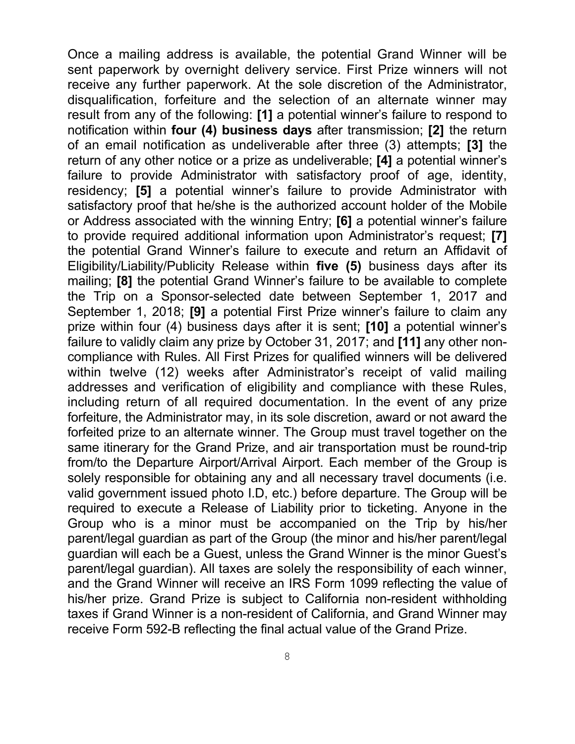Once a mailing address is available, the potential Grand Winner will be sent paperwork by overnight delivery service. First Prize winners will not receive any further paperwork. At the sole discretion of the Administrator, disqualification, forfeiture and the selection of an alternate winner may result from any of the following: **[1]** a potential winner's failure to respond to notification within **four (4) business days** after transmission; **[2]** the return of an email notification as undeliverable after three (3) attempts; **[3]** the return of any other notice or a prize as undeliverable; **[4]** a potential winner's failure to provide Administrator with satisfactory proof of age, identity, residency; **[5]** a potential winner's failure to provide Administrator with satisfactory proof that he/she is the authorized account holder of the Mobile or Address associated with the winning Entry; **[6]** a potential winner's failure to provide required additional information upon Administrator's request; **[7]** the potential Grand Winner's failure to execute and return an Affidavit of Eligibility/Liability/Publicity Release within **five (5)** business days after its mailing; **[8]** the potential Grand Winner's failure to be available to complete the Trip on a Sponsor-selected date between September 1, 2017 and September 1, 2018; **[9]** a potential First Prize winner's failure to claim any prize within four (4) business days after it is sent; **[10]** a potential winner's failure to validly claim any prize by October 31, 2017; and **[11]** any other noncompliance with Rules. All First Prizes for qualified winners will be delivered within twelve (12) weeks after Administrator's receipt of valid mailing addresses and verification of eligibility and compliance with these Rules, including return of all required documentation. In the event of any prize forfeiture, the Administrator may, in its sole discretion, award or not award the forfeited prize to an alternate winner. The Group must travel together on the same itinerary for the Grand Prize, and air transportation must be round-trip from/to the Departure Airport/Arrival Airport. Each member of the Group is solely responsible for obtaining any and all necessary travel documents (i.e. valid government issued photo I.D, etc.) before departure. The Group will be required to execute a Release of Liability prior to ticketing. Anyone in the Group who is a minor must be accompanied on the Trip by his/her parent/legal guardian as part of the Group (the minor and his/her parent/legal guardian will each be a Guest, unless the Grand Winner is the minor Guest's parent/legal guardian). All taxes are solely the responsibility of each winner, and the Grand Winner will receive an IRS Form 1099 reflecting the value of his/her prize. Grand Prize is subject to California non-resident withholding taxes if Grand Winner is a non-resident of California, and Grand Winner may receive Form 592-B reflecting the final actual value of the Grand Prize.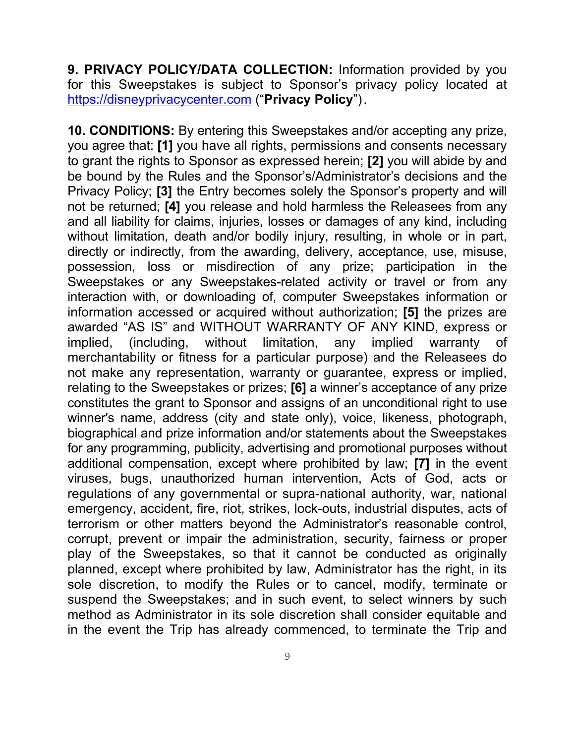**9. PRIVACY POLICY/DATA COLLECTION:** Information provided by you for this Sweepstakes is subject to Sponsor's privacy policy located at https://disneyprivacycenter.com ("**Privacy Policy**").

**10. CONDITIONS:** By entering this Sweepstakes and/or accepting any prize, you agree that: **[1]** you have all rights, permissions and consents necessary to grant the rights to Sponsor as expressed herein; **[2]** you will abide by and be bound by the Rules and the Sponsor's/Administrator's decisions and the Privacy Policy; **[3]** the Entry becomes solely the Sponsor's property and will not be returned; **[4]** you release and hold harmless the Releasees from any and all liability for claims, injuries, losses or damages of any kind, including without limitation, death and/or bodily injury, resulting, in whole or in part, directly or indirectly, from the awarding, delivery, acceptance, use, misuse, possession, loss or misdirection of any prize; participation in the Sweepstakes or any Sweepstakes-related activity or travel or from any interaction with, or downloading of, computer Sweepstakes information or information accessed or acquired without authorization; **[5]** the prizes are awarded "AS IS" and WITHOUT WARRANTY OF ANY KIND, express or implied, (including, without limitation, any implied warranty of merchantability or fitness for a particular purpose) and the Releasees do not make any representation, warranty or guarantee, express or implied, relating to the Sweepstakes or prizes; **[6]** a winner's acceptance of any prize constitutes the grant to Sponsor and assigns of an unconditional right to use winner's name, address (city and state only), voice, likeness, photograph, biographical and prize information and/or statements about the Sweepstakes for any programming, publicity, advertising and promotional purposes without additional compensation, except where prohibited by law; **[7]** in the event viruses, bugs, unauthorized human intervention, Acts of God, acts or regulations of any governmental or supra-national authority, war, national emergency, accident, fire, riot, strikes, lock-outs, industrial disputes, acts of terrorism or other matters beyond the Administrator's reasonable control, corrupt, prevent or impair the administration, security, fairness or proper play of the Sweepstakes, so that it cannot be conducted as originally planned, except where prohibited by law, Administrator has the right, in its sole discretion, to modify the Rules or to cancel, modify, terminate or suspend the Sweepstakes; and in such event, to select winners by such method as Administrator in its sole discretion shall consider equitable and in the event the Trip has already commenced, to terminate the Trip and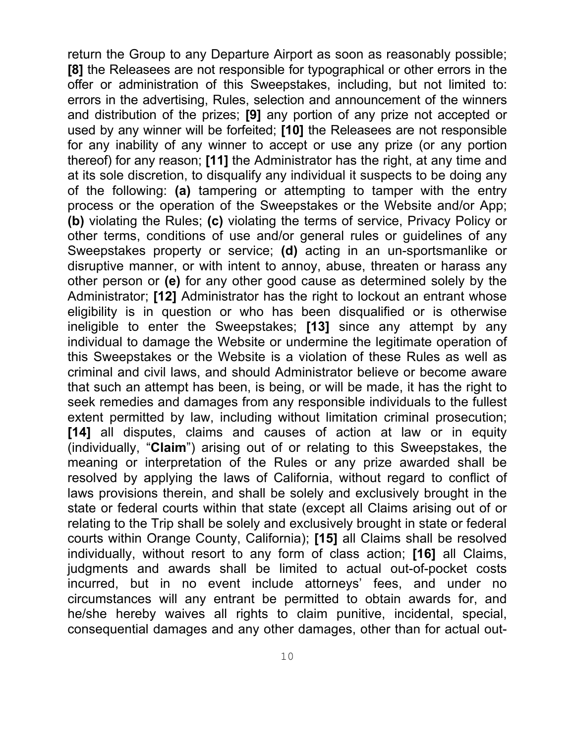return the Group to any Departure Airport as soon as reasonably possible; **[8]** the Releasees are not responsible for typographical or other errors in the offer or administration of this Sweepstakes, including, but not limited to: errors in the advertising, Rules, selection and announcement of the winners and distribution of the prizes; **[9]** any portion of any prize not accepted or used by any winner will be forfeited; **[10]** the Releasees are not responsible for any inability of any winner to accept or use any prize (or any portion thereof) for any reason; **[11]** the Administrator has the right, at any time and at its sole discretion, to disqualify any individual it suspects to be doing any of the following: **(a)** tampering or attempting to tamper with the entry process or the operation of the Sweepstakes or the Website and/or App; **(b)** violating the Rules; **(c)** violating the terms of service, Privacy Policy or other terms, conditions of use and/or general rules or guidelines of any Sweepstakes property or service; **(d)** acting in an un-sportsmanlike or disruptive manner, or with intent to annoy, abuse, threaten or harass any other person or **(e)** for any other good cause as determined solely by the Administrator; **[12]** Administrator has the right to lockout an entrant whose eligibility is in question or who has been disqualified or is otherwise ineligible to enter the Sweepstakes; **[13]** since any attempt by any individual to damage the Website or undermine the legitimate operation of this Sweepstakes or the Website is a violation of these Rules as well as criminal and civil laws, and should Administrator believe or become aware that such an attempt has been, is being, or will be made, it has the right to seek remedies and damages from any responsible individuals to the fullest extent permitted by law, including without limitation criminal prosecution; **[14]** all disputes, claims and causes of action at law or in equity (individually, "**Claim**") arising out of or relating to this Sweepstakes, the meaning or interpretation of the Rules or any prize awarded shall be resolved by applying the laws of California, without regard to conflict of laws provisions therein, and shall be solely and exclusively brought in the state or federal courts within that state (except all Claims arising out of or relating to the Trip shall be solely and exclusively brought in state or federal courts within Orange County, California); **[15]** all Claims shall be resolved individually, without resort to any form of class action; **[16]** all Claims, judgments and awards shall be limited to actual out-of-pocket costs incurred, but in no event include attorneys' fees, and under no circumstances will any entrant be permitted to obtain awards for, and he/she hereby waives all rights to claim punitive, incidental, special, consequential damages and any other damages, other than for actual out-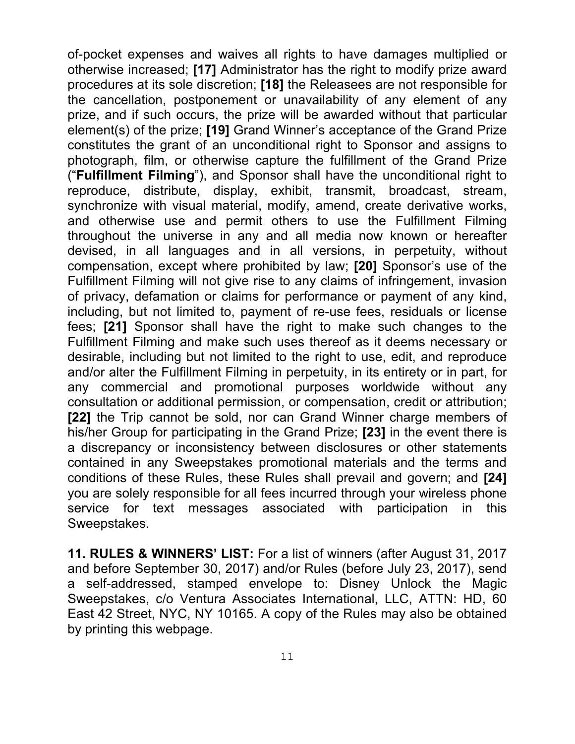of-pocket expenses and waives all rights to have damages multiplied or otherwise increased; **[17]** Administrator has the right to modify prize award procedures at its sole discretion; **[18]** the Releasees are not responsible for the cancellation, postponement or unavailability of any element of any prize, and if such occurs, the prize will be awarded without that particular element(s) of the prize; **[19]** Grand Winner's acceptance of the Grand Prize constitutes the grant of an unconditional right to Sponsor and assigns to photograph, film, or otherwise capture the fulfillment of the Grand Prize ("**Fulfillment Filming**"), and Sponsor shall have the unconditional right to reproduce, distribute, display, exhibit, transmit, broadcast, stream, synchronize with visual material, modify, amend, create derivative works, and otherwise use and permit others to use the Fulfillment Filming throughout the universe in any and all media now known or hereafter devised, in all languages and in all versions, in perpetuity, without compensation, except where prohibited by law; **[20]** Sponsor's use of the Fulfillment Filming will not give rise to any claims of infringement, invasion of privacy, defamation or claims for performance or payment of any kind, including, but not limited to, payment of re-use fees, residuals or license fees; **[21]** Sponsor shall have the right to make such changes to the Fulfillment Filming and make such uses thereof as it deems necessary or desirable, including but not limited to the right to use, edit, and reproduce and/or alter the Fulfillment Filming in perpetuity, in its entirety or in part, for any commercial and promotional purposes worldwide without any consultation or additional permission, or compensation, credit or attribution; **[22]** the Trip cannot be sold, nor can Grand Winner charge members of his/her Group for participating in the Grand Prize; **[23]** in the event there is a discrepancy or inconsistency between disclosures or other statements contained in any Sweepstakes promotional materials and the terms and conditions of these Rules, these Rules shall prevail and govern; and **[24]** you are solely responsible for all fees incurred through your wireless phone service for text messages associated with participation in this Sweepstakes.

**11. RULES & WINNERS' LIST:** For a list of winners (after August 31, 2017 and before September 30, 2017) and/or Rules (before July 23, 2017), send a self-addressed, stamped envelope to: Disney Unlock the Magic Sweepstakes, c/o Ventura Associates International, LLC, ATTN: HD, 60 East 42 Street, NYC, NY 10165. A copy of the Rules may also be obtained by printing this webpage.